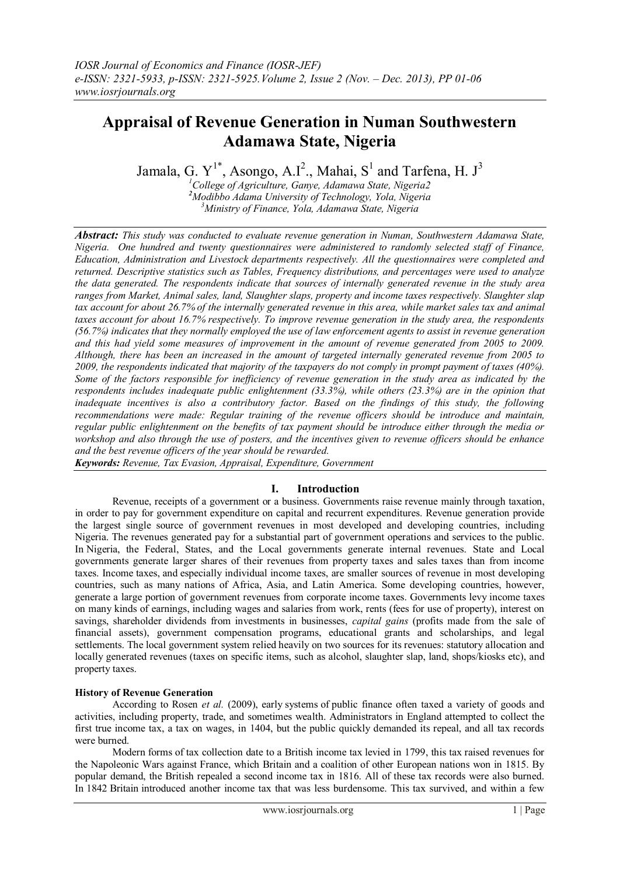# **Appraisal of Revenue Generation in Numan Southwestern Adamawa State, Nigeria**

Jamala, G.  $Y^{1*}$ , Asongo, A.I<sup>2</sup>., Mahai, S<sup>1</sup> and Tarfena, H. J<sup>3</sup>

*<sup>1</sup>College of Agriculture, Ganye, Adamawa State, Nigeria2 <sup>2</sup>Modibbo Adama University of Technology, Yola, Nigeria <sup>3</sup>Ministry of Finance, Yola, Adamawa State, Nigeria*

*Abstract: This study was conducted to evaluate revenue generation in Numan, Southwestern Adamawa State, Nigeria. One hundred and twenty questionnaires were administered to randomly selected staff of Finance, Education, Administration and Livestock departments respectively. All the questionnaires were completed and returned. Descriptive statistics such as Tables, Frequency distributions, and percentages were used to analyze the data generated. The respondents indicate that sources of internally generated revenue in the study area ranges from Market, Animal sales, land, Slaughter slaps, property and income taxes respectively. Slaughter slap tax account for about 26.7% of the internally generated revenue in this area, while market sales tax and animal taxes account for about 16.7% respectively. To improve revenue generation in the study area, the respondents (56.7%) indicates that they normally employed the use of law enforcement agents to assist in revenue generation and this had yield some measures of improvement in the amount of revenue generated from 2005 to 2009. Although, there has been an increased in the amount of targeted internally generated revenue from 2005 to 2009, the respondents indicated that majority of the taxpayers do not comply in prompt payment of taxes (40%). Some of the factors responsible for inefficiency of revenue generation in the study area as indicated by the respondents includes inadequate public enlightenment (33.3%), while others (23.3%) are in the opinion that inadequate incentives is also a contributory factor. Based on the findings of this study, the following recommendations were made: Regular training of the revenue officers should be introduce and maintain, regular public enlightenment on the benefits of tax payment should be introduce either through the media or workshop and also through the use of posters, and the incentives given to revenue officers should be enhance and the best revenue officers of the year should be rewarded.*

*Keywords: Revenue, Tax Evasion, Appraisal, Expenditure, Government*

# **I. Introduction**

Revenue, receipts of a government or a business. Governments raise revenue mainly through taxation, in order to pay for government expenditure on capital and recurrent expenditures. Revenue generation provide the largest single source of government revenues in most developed and developing countries, including Nigeria. The revenues generated pay for a substantial part of government operations and services to the public. In Nigeria, the Federal, States, and the Local governments generate internal revenues. State and Local governments generate larger shares of their revenues from property taxes and sales taxes than from income taxes. Income taxes, and especially individual income taxes, are smaller sources of revenue in most developing countries, such as many nations of Africa, Asia, and Latin America. Some developing countries, however, generate a large portion of government revenues from corporate income taxes. Governments levy income taxes on many kinds of earnings, including wages and salaries from work, rents (fees for use of property), interest on savings, shareholder dividends from investments in businesses, *capital gains* (profits made from the sale of financial assets), government compensation programs, educational grants and scholarships, and legal settlements. The local government system relied heavily on two sources for its revenues: statutory allocation and locally generated revenues (taxes on specific items, such as alcohol, slaughter slap, land, shops/kiosks etc), and property taxes.

# **History of Revenue Generation**

According to Rosen *et al.* (2009), early systems of public finance often taxed a variety of goods and activities, including property, trade, and sometimes wealth. Administrators in England attempted to collect the first true income tax, a tax on wages, in 1404, but the public quickly demanded its repeal, and all tax records were burned.

Modern forms of tax collection date to a British income tax levied in 1799, this tax raised revenues for the Napoleonic Wars against France, which Britain and a coalition of other European nations won in 1815. By popular demand, the British repealed a second income tax in 1816. All of these tax records were also burned. In 1842 Britain introduced another income tax that was less burdensome. This tax survived, and within a few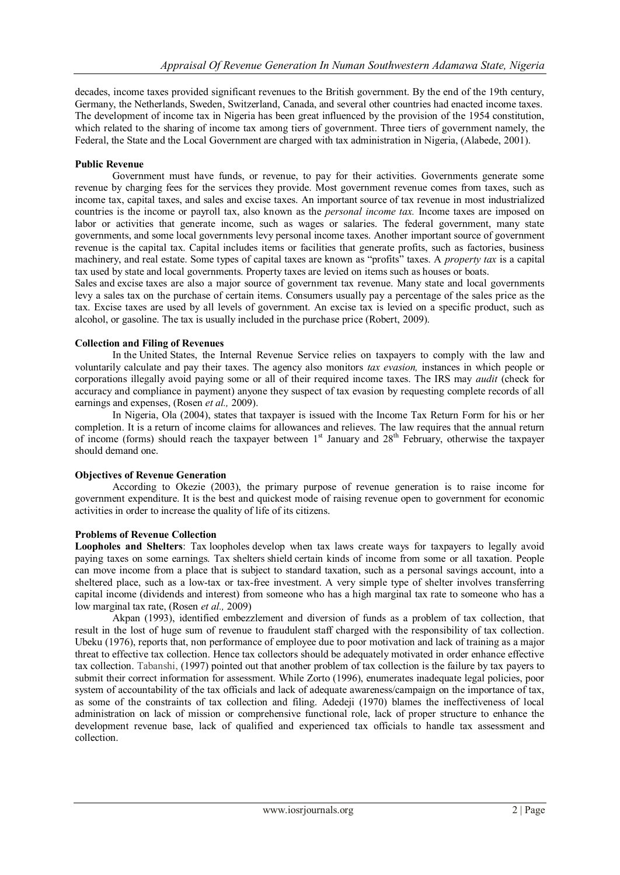decades, income taxes provided significant revenues to the British government. By the end of the 19th century, Germany, the Netherlands, Sweden, Switzerland, Canada, and several other countries had enacted income taxes. The development of income tax in Nigeria has been great influenced by the provision of the 1954 constitution, which related to the sharing of income tax among tiers of government. Three tiers of government namely, the Federal, the State and the Local Government are charged with tax administration in Nigeria, (Alabede, 2001).

# **Public Revenue**

Government must have funds, or revenue, to pay for their activities. Governments generate some revenue by charging fees for the services they provide. Most government revenue comes from taxes, such as income tax, capital taxes, and sales and excise taxes. An important source of tax revenue in most industrialized countries is the income or payroll tax, also known as the *personal income tax.* Income taxes are imposed on labor or activities that generate income, such as wages or salaries. The federal government, many state governments, and some local governments levy personal income taxes. Another important source of government revenue is the capital tax. Capital includes items or facilities that generate profits, such as factories, business machinery, and real estate. Some types of capital taxes are known as "profits" taxes. A *property tax* is a capital tax used by state and local governments. Property taxes are levied on items such as houses or boats.

Sales and excise taxes are also a major source of government tax revenue. Many state and local governments levy a sales tax on the purchase of certain items. Consumers usually pay a percentage of the sales price as the tax. Excise taxes are used by all levels of government. An excise tax is levied on a specific product, such as alcohol, or gasoline. The tax is usually included in the purchase price (Robert, 2009).

## **Collection and Filing of Revenues**

In the United States, the Internal Revenue Service relies on taxpayers to comply with the law and voluntarily calculate and pay their taxes. The agency also monitors *tax evasion,* instances in which people or corporations illegally avoid paying some or all of their required income taxes. The IRS may *audit* (check for accuracy and compliance in payment) anyone they suspect of tax evasion by requesting complete records of all earnings and expenses, (Rosen *et al.,* 2009).

In Nigeria, Ola (2004), states that taxpayer is issued with the Income Tax Return Form for his or her completion. It is a return of income claims for allowances and relieves. The law requires that the annual return of income (forms) should reach the taxpayer between  $1<sup>st</sup>$  January and  $28<sup>th</sup>$  February, otherwise the taxpayer should demand one.

#### **Objectives of Revenue Generation**

According to Okezie (2003), the primary purpose of revenue generation is to raise income for government expenditure. It is the best and quickest mode of raising revenue open to government for economic activities in order to increase the quality of life of its citizens.

#### **Problems of Revenue Collection**

**Loopholes and Shelters**: Tax loopholes develop when tax laws create ways for taxpayers to legally avoid paying taxes on some earnings. Tax shelters shield certain kinds of income from some or all taxation. People can move income from a place that is subject to standard taxation, such as a personal savings account, into a sheltered place, such as a low-tax or tax-free investment. A very simple type of shelter involves transferring capital income (dividends and interest) from someone who has a high marginal tax rate to someone who has a low marginal tax rate, (Rosen *et al.,* 2009)

Akpan (1993), identified embezzlement and diversion of funds as a problem of tax collection, that result in the lost of huge sum of revenue to fraudulent staff charged with the responsibility of tax collection. Ubeku (1976), reports that, non performance of employee due to poor motivation and lack of training as a major threat to effective tax collection. Hence tax collectors should be adequately motivated in order enhance effective tax collection. Tabanshi, (1997) pointed out that another problem of tax collection is the failure by tax payers to submit their correct information for assessment. While Zorto (1996), enumerates inadequate legal policies, poor system of accountability of the tax officials and lack of adequate awareness/campaign on the importance of tax, as some of the constraints of tax collection and filing. Adedeji (1970) blames the ineffectiveness of local administration on lack of mission or comprehensive functional role, lack of proper structure to enhance the development revenue base, lack of qualified and experienced tax officials to handle tax assessment and collection.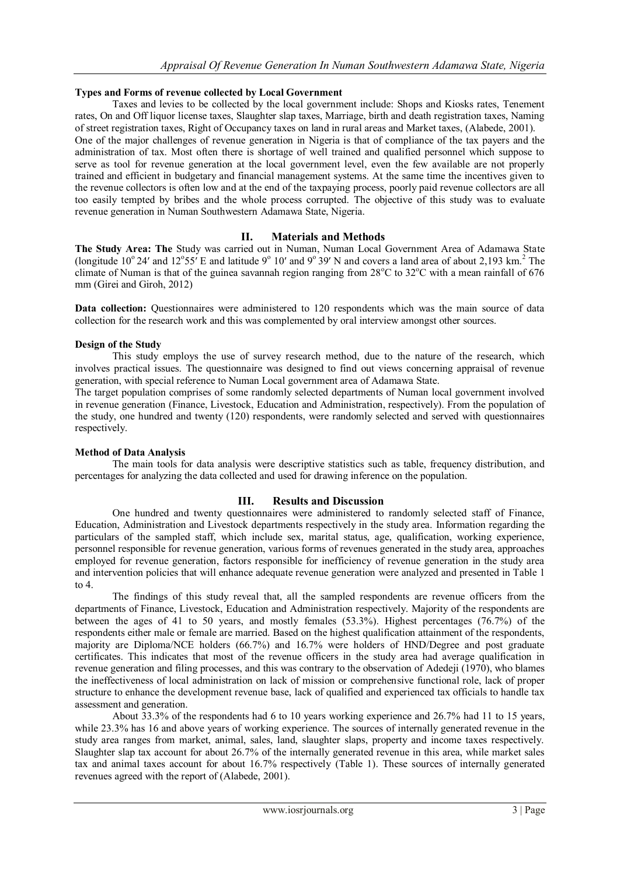# **Types and Forms of revenue collected by Local Government**

Taxes and levies to be collected by the local government include: Shops and Kiosks rates, Tenement rates, On and Off liquor license taxes, Slaughter slap taxes, Marriage, birth and death registration taxes, Naming of street registration taxes, Right of Occupancy taxes on land in rural areas and Market taxes, (Alabede, 2001). One of the major challenges of revenue generation in Nigeria is that of compliance of the tax payers and the administration of tax. Most often there is shortage of well trained and qualified personnel which suppose to serve as tool for revenue generation at the local government level, even the few available are not properly trained and efficient in budgetary and financial management systems. At the same time the incentives given to the revenue collectors is often low and at the end of the taxpaying process, poorly paid revenue collectors are all too easily tempted by bribes and the whole process corrupted. The objective of this study was to evaluate revenue generation in Numan Southwestern Adamawa State, Nigeria.

# **II. Materials and Methods**

**The Study Area: The** Study was carried out in Numan, Numan Local Government Area of Adamawa State (longitude  $10^{\circ}$  24' and  $12^{\circ}$ 55' E and latitude 9 $^{\circ}$  10' and 9 $^{\circ}$  39' N and covers a land area of about 2,193 km.<sup>2</sup> The climate of Numan is that of the guinea savannah region ranging from  $28^{\circ}$ C to  $32^{\circ}$ C with a mean rainfall of 676 mm (Girei and Giroh, 2012)

**Data** collection: Questionnaires were administered to 120 respondents which was the main source of data collection for the research work and this was complemented by oral interview amongst other sources.

## **Design of the Study**

This study employs the use of survey research method, due to the nature of the research, which involves practical issues. The questionnaire was designed to find out views concerning appraisal of revenue generation, with special reference to Numan Local government area of Adamawa State.

The target population comprises of some randomly selected departments of Numan local government involved in revenue generation (Finance, Livestock, Education and Administration, respectively). From the population of the study, one hundred and twenty (120) respondents, were randomly selected and served with questionnaires respectively.

#### **Method of Data Analysis**

The main tools for data analysis were descriptive statistics such as table, frequency distribution, and percentages for analyzing the data collected and used for drawing inference on the population.

# **III. Results and Discussion**

One hundred and twenty questionnaires were administered to randomly selected staff of Finance, Education, Administration and Livestock departments respectively in the study area. Information regarding the particulars of the sampled staff, which include sex, marital status, age, qualification, working experience, personnel responsible for revenue generation, various forms of revenues generated in the study area, approaches employed for revenue generation, factors responsible for inefficiency of revenue generation in the study area and intervention policies that will enhance adequate revenue generation were analyzed and presented in Table 1 to 4.

The findings of this study reveal that, all the sampled respondents are revenue officers from the departments of Finance, Livestock, Education and Administration respectively. Majority of the respondents are between the ages of 41 to 50 years, and mostly females (53.3%). Highest percentages (76.7%) of the respondents either male or female are married. Based on the highest qualification attainment of the respondents, majority are Diploma/NCE holders (66.7%) and 16.7% were holders of HND/Degree and post graduate certificates. This indicates that most of the revenue officers in the study area had average qualification in revenue generation and filing processes, and this was contrary to the observation of Adedeji (1970), who blames the ineffectiveness of local administration on lack of mission or comprehensive functional role, lack of proper structure to enhance the development revenue base, lack of qualified and experienced tax officials to handle tax assessment and generation.

About 33.3% of the respondents had 6 to 10 years working experience and 26.7% had 11 to 15 years, while 23.3% has 16 and above years of working experience. The sources of internally generated revenue in the study area ranges from market, animal, sales, land, slaughter slaps, property and income taxes respectively. Slaughter slap tax account for about 26.7% of the internally generated revenue in this area, while market sales tax and animal taxes account for about 16.7% respectively (Table 1). These sources of internally generated revenues agreed with the report of (Alabede, 2001).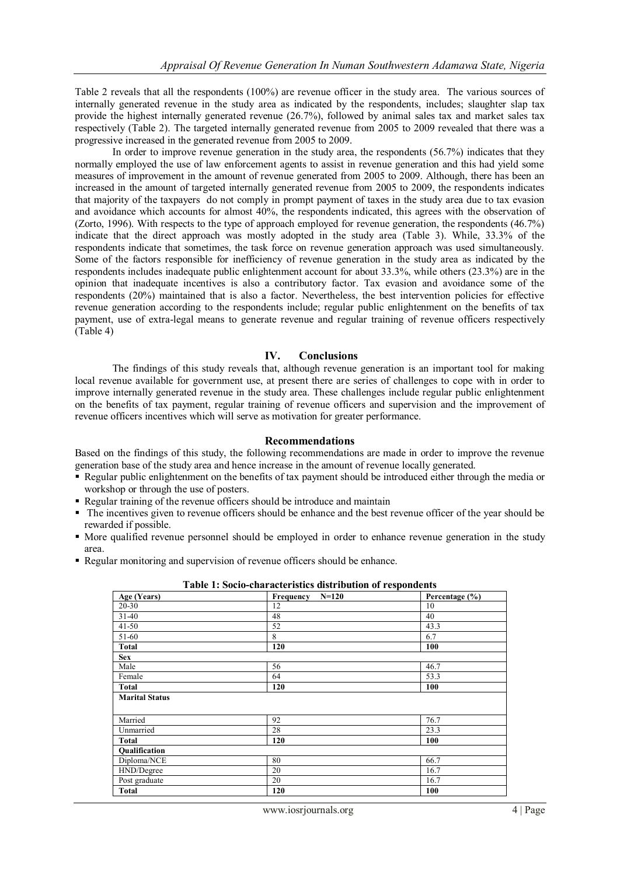Table 2 reveals that all the respondents (100%) are revenue officer in the study area. The various sources of internally generated revenue in the study area as indicated by the respondents, includes; slaughter slap tax provide the highest internally generated revenue (26.7%), followed by animal sales tax and market sales tax respectively (Table 2). The targeted internally generated revenue from 2005 to 2009 revealed that there was a progressive increased in the generated revenue from 2005 to 2009.

In order to improve revenue generation in the study area, the respondents (56.7%) indicates that they normally employed the use of law enforcement agents to assist in revenue generation and this had yield some measures of improvement in the amount of revenue generated from 2005 to 2009. Although, there has been an increased in the amount of targeted internally generated revenue from 2005 to 2009, the respondents indicates that majority of the taxpayers do not comply in prompt payment of taxes in the study area due to tax evasion and avoidance which accounts for almost 40%, the respondents indicated, this agrees with the observation of (Zorto, 1996). With respects to the type of approach employed for revenue generation, the respondents (46.7%) indicate that the direct approach was mostly adopted in the study area (Table 3). While, 33.3% of the respondents indicate that sometimes, the task force on revenue generation approach was used simultaneously. Some of the factors responsible for inefficiency of revenue generation in the study area as indicated by the respondents includes inadequate public enlightenment account for about 33.3%, while others (23.3%) are in the opinion that inadequate incentives is also a contributory factor. Tax evasion and avoidance some of the respondents (20%) maintained that is also a factor. Nevertheless, the best intervention policies for effective revenue generation according to the respondents include; regular public enlightenment on the benefits of tax payment, use of extra-legal means to generate revenue and regular training of revenue officers respectively (Table 4)

## **IV. Conclusions**

The findings of this study reveals that, although revenue generation is an important tool for making local revenue available for government use, at present there are series of challenges to cope with in order to improve internally generated revenue in the study area. These challenges include regular public enlightenment on the benefits of tax payment, regular training of revenue officers and supervision and the improvement of revenue officers incentives which will serve as motivation for greater performance.

#### **Recommendations**

Based on the findings of this study, the following recommendations are made in order to improve the revenue generation base of the study area and hence increase in the amount of revenue locally generated.

- Regular public enlightenment on the benefits of tax payment should be introduced either through the media or workshop or through the use of posters.
- Regular training of the revenue officers should be introduce and maintain
- The incentives given to revenue officers should be enhance and the best revenue officer of the year should be rewarded if possible.
- More qualified revenue personnel should be employed in order to enhance revenue generation in the study area.
- Regular monitoring and supervision of revenue officers should be enhance.

| Age (Years)           | <u>soon value hotel lights alone to help in a copole were a</u><br>$N=120$<br>Frequency | Percentage (%) |
|-----------------------|-----------------------------------------------------------------------------------------|----------------|
| 20-30                 | 12                                                                                      | 10             |
| $31-40$               | 48                                                                                      | 40             |
|                       |                                                                                         |                |
| $41 - 50$             | 52                                                                                      | 43.3           |
| 51-60                 | 8                                                                                       | 6.7            |
| <b>Total</b>          | 120                                                                                     | 100            |
| <b>Sex</b>            |                                                                                         |                |
| Male                  | 56                                                                                      | 46.7           |
| Female                | 64                                                                                      | 53.3           |
| <b>Total</b>          | 120                                                                                     | 100            |
| <b>Marital Status</b> |                                                                                         |                |
|                       |                                                                                         |                |
| Married               | 92                                                                                      | 76.7           |
| Unmarried             | 28                                                                                      | 23.3           |
| <b>Total</b>          | 120                                                                                     | 100            |
| Qualification         |                                                                                         |                |
| Diploma/NCE           | 80                                                                                      | 66.7           |
| HND/Degree            | 20                                                                                      | 16.7           |
| Post graduate         | 20                                                                                      | 16.7           |
| <b>Total</b>          | 120                                                                                     | 100            |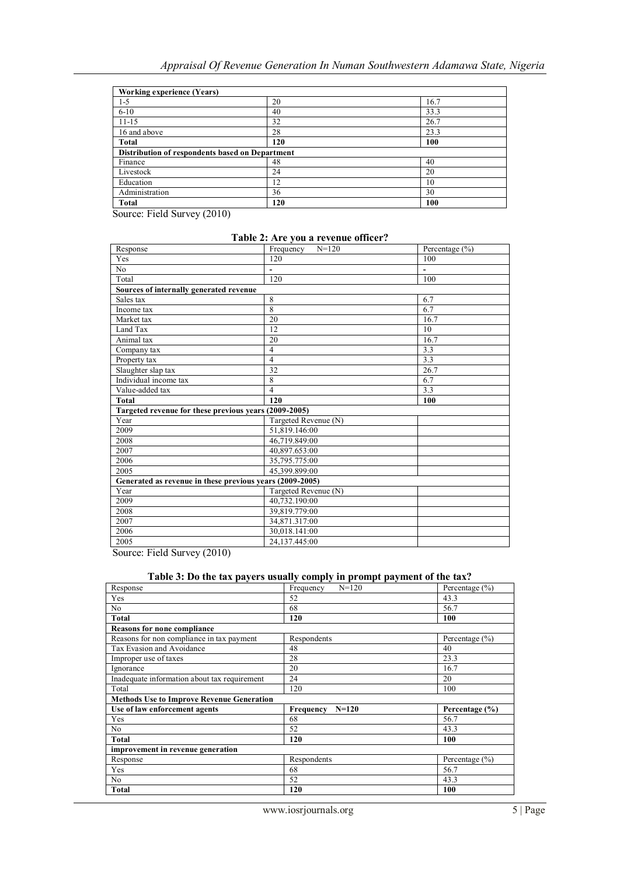| <b>Working experience (Years)</b>               |     |      |
|-------------------------------------------------|-----|------|
| $1 - 5$                                         | 20  | 16.7 |
| $6 - 10$                                        | 40  | 33.3 |
| $11 - 15$                                       | 32  | 26.7 |
| 16 and above                                    | 28  | 23.3 |
| <b>Total</b>                                    | 120 | 100  |
| Distribution of respondents based on Department |     |      |
| Finance                                         | 48  | 40   |
| Livestock                                       | 24  | 20   |
| Education                                       | 12  | 10   |
| Administration                                  | 36  | 30   |
| Total                                           | 120 | 100  |

Source: Field Survey (2010)

## **Table 2: Are you a revenue officer?**

| Response                                                 | Frequency<br>$N = 120$   | Percentage (%) |
|----------------------------------------------------------|--------------------------|----------------|
| Yes                                                      | 120                      | 100            |
| N <sub>0</sub>                                           | $\overline{\phantom{m}}$ | $\overline{a}$ |
| Total                                                    | 120                      | 100            |
| Sources of internally generated revenue                  |                          |                |
| Sales tax                                                | 8                        | 6.7            |
| Income tax                                               | 8                        | 6.7            |
| Market tax                                               | 20                       | 16.7           |
| Land Tax                                                 | 12                       | 10             |
| Animal tax                                               | 20                       | 16.7           |
| Company tax                                              | $\overline{4}$           | 3.3            |
| Property tax                                             | $\overline{4}$           | 3.3            |
| Slaughter slap tax                                       | 32                       | 26.7           |
| Individual income tax                                    | 8                        | 6.7            |
| Value-added tax                                          | $\overline{4}$           | 3.3            |
| <b>Total</b>                                             | 120                      | 100            |
| Targeted revenue for these previous years (2009-2005)    |                          |                |
| Year                                                     | Targeted Revenue (N)     |                |
| 2009                                                     | 51,819.146:00            |                |
| 2008                                                     | 46,719.849:00            |                |
| 2007                                                     | 40,897.653:00            |                |
| 2006                                                     | 35,795.775:00            |                |
| 2005                                                     | 45.399.899:00            |                |
| Generated as revenue in these previous years (2009-2005) |                          |                |
| Year                                                     | Targeted Revenue (N)     |                |
| 2009                                                     | 40,732.190:00            |                |
| 2008                                                     | 39,819.779:00            |                |
| 2007                                                     | 34,871.317:00            |                |
| 2006                                                     | 30,018.141:00            |                |
| 2005                                                     | 24.137.445:00            |                |

Source: Field Survey (2010)

## **Table 3: Do the tax payers usually comply in prompt payment of the tax?**

| Response                                         | $N = 120$<br>Frequency | Percentage $(\% )$ |  |
|--------------------------------------------------|------------------------|--------------------|--|
| Yes                                              | 52                     | 43.3               |  |
| No.                                              | 68                     | 56.7               |  |
| <b>Total</b>                                     | 120                    | 100                |  |
| <b>Reasons for none compliance</b>               |                        |                    |  |
| Reasons for non compliance in tax payment        | Respondents            | Percentage $(\% )$ |  |
| Tax Evasion and Avoidance                        | 48                     | 40                 |  |
| Improper use of taxes                            | 28                     | 23.3               |  |
| Ignorance                                        | 20                     | 16.7               |  |
| Inadequate information about tax requirement     | 24                     | 20                 |  |
| Total                                            | 120                    | 100                |  |
| <b>Methods Use to Improve Revenue Generation</b> |                        |                    |  |
| Use of law enforcement agents                    | Frequency<br>$N=120$   | Percentage (%)     |  |
| Yes                                              | 68                     | 56.7               |  |
| No.                                              | 52                     | 43.3               |  |
| <b>Total</b>                                     | 120                    | 100                |  |
| improvement in revenue generation                |                        |                    |  |
| Response                                         | Respondents            | Percentage $(\% )$ |  |
| Yes                                              | 68                     | 56.7               |  |
| N <sub>o</sub>                                   | 52                     | 43.3               |  |
| <b>Total</b>                                     | 120                    | 100                |  |